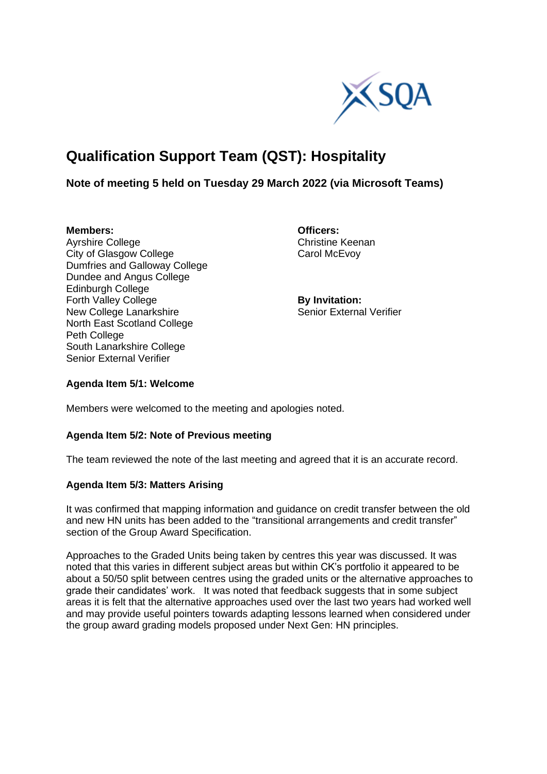

# **Qualification Support Team (QST): Hospitality**

# **Note of meeting 5 held on Tuesday 29 March 2022 (via Microsoft Teams)**

Avrshire College City of Glasgow College Carol McEvoy Dumfries and Galloway College Dundee and Angus College Edinburgh College Forth Valley College **By Invitation:** New College Lanarkshire Senior External Verifier North East Scotland College Peth College South Lanarkshire College Senior External Verifier

**Members:**<br> **Avrshire College**<br> **Avrshire College**<br> **Christine Keenan** 

#### **Agenda Item 5/1: Welcome**

Members were welcomed to the meeting and apologies noted.

## **Agenda Item 5/2: Note of Previous meeting**

The team reviewed the note of the last meeting and agreed that it is an accurate record.

## **Agenda Item 5/3: Matters Arising**

It was confirmed that mapping information and guidance on credit transfer between the old and new HN units has been added to the "transitional arrangements and credit transfer" section of the Group Award Specification.

Approaches to the Graded Units being taken by centres this year was discussed. It was noted that this varies in different subject areas but within CK's portfolio it appeared to be about a 50/50 split between centres using the graded units or the alternative approaches to grade their candidates' work. It was noted that feedback suggests that in some subject areas it is felt that the alternative approaches used over the last two years had worked well and may provide useful pointers towards adapting lessons learned when considered under the group award grading models proposed under Next Gen: HN principles.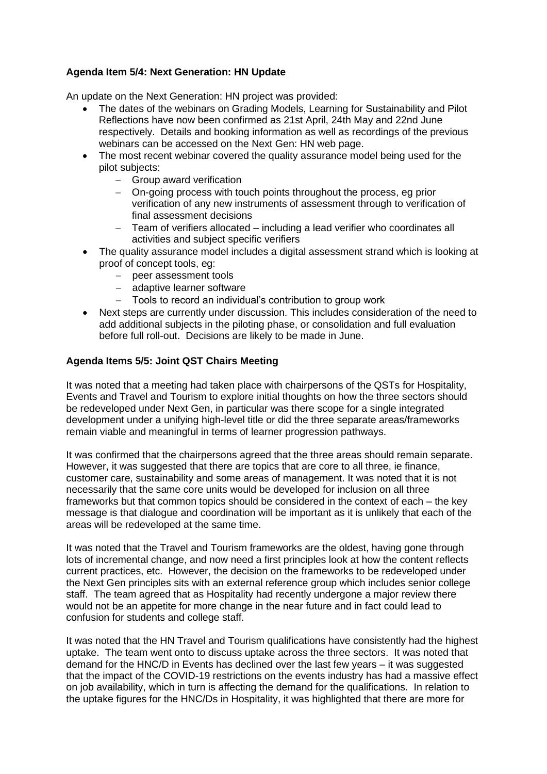# **Agenda Item 5/4: Next Generation: HN Update**

An update on the Next Generation: HN project was provided:

- The dates of the webinars on Grading Models, Learning for Sustainability and Pilot Reflections have now been confirmed as 21st April, 24th May and 22nd June respectively. Details and booking information as well as recordings of the previous webinars can be accessed on the Next Gen: HN web page.
- The most recent webinar covered the quality assurance model being used for the pilot subjects:
	- − Group award verification
	- − On-going process with touch points throughout the process, eg prior verification of any new instruments of assessment through to verification of final assessment decisions
	- − Team of verifiers allocated including a lead verifier who coordinates all activities and subject specific verifiers
- The quality assurance model includes a digital assessment strand which is looking at proof of concept tools, eg:
	- − peer assessment tools
	- − adaptive learner software
	- Tools to record an individual's contribution to group work
- Next steps are currently under discussion. This includes consideration of the need to add additional subjects in the piloting phase, or consolidation and full evaluation before full roll-out. Decisions are likely to be made in June.

## **Agenda Items 5/5: Joint QST Chairs Meeting**

It was noted that a meeting had taken place with chairpersons of the QSTs for Hospitality, Events and Travel and Tourism to explore initial thoughts on how the three sectors should be redeveloped under Next Gen, in particular was there scope for a single integrated development under a unifying high-level title or did the three separate areas/frameworks remain viable and meaningful in terms of learner progression pathways.

It was confirmed that the chairpersons agreed that the three areas should remain separate. However, it was suggested that there are topics that are core to all three, ie finance, customer care, sustainability and some areas of management. It was noted that it is not necessarily that the same core units would be developed for inclusion on all three frameworks but that common topics should be considered in the context of each – the key message is that dialogue and coordination will be important as it is unlikely that each of the areas will be redeveloped at the same time.

It was noted that the Travel and Tourism frameworks are the oldest, having gone through lots of incremental change, and now need a first principles look at how the content reflects current practices, etc. However, the decision on the frameworks to be redeveloped under the Next Gen principles sits with an external reference group which includes senior college staff. The team agreed that as Hospitality had recently undergone a major review there would not be an appetite for more change in the near future and in fact could lead to confusion for students and college staff.

It was noted that the HN Travel and Tourism qualifications have consistently had the highest uptake. The team went onto to discuss uptake across the three sectors. It was noted that demand for the HNC/D in Events has declined over the last few years – it was suggested that the impact of the COVID-19 restrictions on the events industry has had a massive effect on job availability, which in turn is affecting the demand for the qualifications. In relation to the uptake figures for the HNC/Ds in Hospitality, it was highlighted that there are more for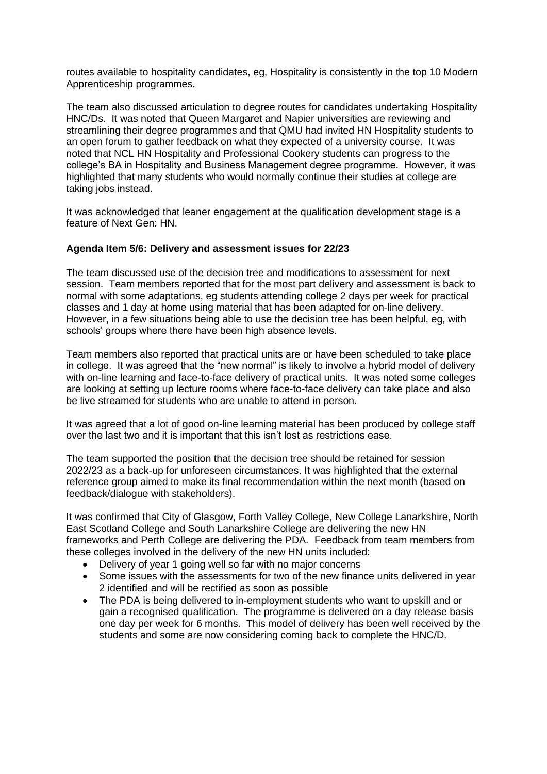routes available to hospitality candidates, eg, Hospitality is consistently in the top 10 Modern Apprenticeship programmes.

The team also discussed articulation to degree routes for candidates undertaking Hospitality HNC/Ds. It was noted that Queen Margaret and Napier universities are reviewing and streamlining their degree programmes and that QMU had invited HN Hospitality students to an open forum to gather feedback on what they expected of a university course. It was noted that NCL HN Hospitality and Professional Cookery students can progress to the college's BA in Hospitality and Business Management degree programme. However, it was highlighted that many students who would normally continue their studies at college are taking jobs instead.

It was acknowledged that leaner engagement at the qualification development stage is a feature of Next Gen: HN.

#### **Agenda Item 5/6: Delivery and assessment issues for 22/23**

The team discussed use of the decision tree and modifications to assessment for next session. Team members reported that for the most part delivery and assessment is back to normal with some adaptations, eg students attending college 2 days per week for practical classes and 1 day at home using material that has been adapted for on-line delivery. However, in a few situations being able to use the decision tree has been helpful, eg, with schools' groups where there have been high absence levels.

Team members also reported that practical units are or have been scheduled to take place in college. It was agreed that the "new normal" is likely to involve a hybrid model of delivery with on-line learning and face-to-face delivery of practical units. It was noted some colleges are looking at setting up lecture rooms where face-to-face delivery can take place and also be live streamed for students who are unable to attend in person.

It was agreed that a lot of good on-line learning material has been produced by college staff over the last two and it is important that this isn't lost as restrictions ease.

The team supported the position that the decision tree should be retained for session 2022/23 as a back-up for unforeseen circumstances. It was highlighted that the external reference group aimed to make its final recommendation within the next month (based on feedback/dialogue with stakeholders).

It was confirmed that City of Glasgow, Forth Valley College, New College Lanarkshire, North East Scotland College and South Lanarkshire College are delivering the new HN frameworks and Perth College are delivering the PDA. Feedback from team members from these colleges involved in the delivery of the new HN units included:

- Delivery of year 1 going well so far with no major concerns
- Some issues with the assessments for two of the new finance units delivered in year 2 identified and will be rectified as soon as possible
- The PDA is being delivered to in-employment students who want to upskill and or gain a recognised qualification. The programme is delivered on a day release basis one day per week for 6 months. This model of delivery has been well received by the students and some are now considering coming back to complete the HNC/D.